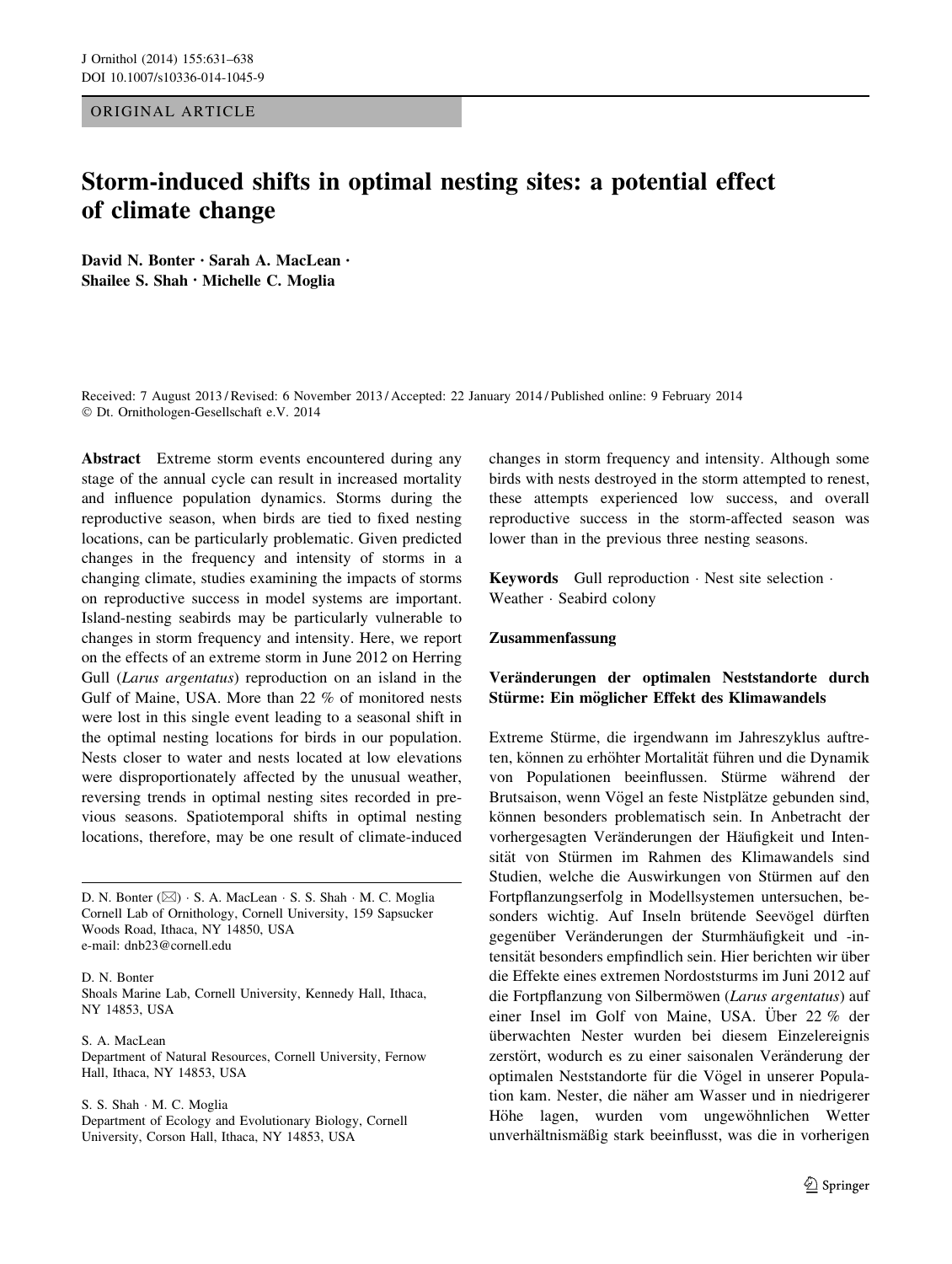ORIGINAL ARTICLE

# Storm-induced shifts in optimal nesting sites: a potential effect of climate change

David N. Bonter • Sarah A. MacLean • Shailee S. Shah • Michelle C. Moglia

Received: 7 August 2013 / Revised: 6 November 2013 / Accepted: 22 January 2014 / Published online: 9 February 2014 © Dt. Ornithologen-Gesellschaft e.V. 2014

Abstract Extreme storm events encountered during any stage of the annual cycle can result in increased mortality and influence population dynamics. Storms during the reproductive season, when birds are tied to fixed nesting locations, can be particularly problematic. Given predicted changes in the frequency and intensity of storms in a changing climate, studies examining the impacts of storms on reproductive success in model systems are important. Island-nesting seabirds may be particularly vulnerable to changes in storm frequency and intensity. Here, we report on the effects of an extreme storm in June 2012 on Herring Gull (Larus argentatus) reproduction on an island in the Gulf of Maine, USA. More than 22 % of monitored nests were lost in this single event leading to a seasonal shift in the optimal nesting locations for birds in our population. Nests closer to water and nests located at low elevations were disproportionately affected by the unusual weather, reversing trends in optimal nesting sites recorded in previous seasons. Spatiotemporal shifts in optimal nesting locations, therefore, may be one result of climate-induced

D. N. Bonter (⊠) · S. A. MacLean · S. S. Shah · M. C. Moglia Cornell Lab of Ornithology, Cornell University, 159 Sapsucker Woods Road, Ithaca, NY 14850, USA e-mail: dnb23@cornell.edu

D. N. Bonter

Shoals Marine Lab, Cornell University, Kennedy Hall, Ithaca, NY 14853, USA

S. A. MacLean Department of Natural Resources, Cornell University, Fernow Hall, Ithaca, NY 14853, USA

S. S. Shah - M. C. Moglia

Department of Ecology and Evolutionary Biology, Cornell University, Corson Hall, Ithaca, NY 14853, USA

changes in storm frequency and intensity. Although some birds with nests destroyed in the storm attempted to renest, these attempts experienced low success, and overall reproductive success in the storm-affected season was lower than in the previous three nesting seasons.

Keywords Gull reproduction · Nest site selection · Weather - Seabird colony

#### Zusammenfassung

# Veränderungen der optimalen Neststandorte durch Stürme: Ein möglicher Effekt des Klimawandels

Extreme Stürme, die irgendwann im Jahreszyklus auftreten, können zu erhöhter Mortalität führen und die Dynamik von Populationen beeinflussen. Stürme während der Brutsaison, wenn Vögel an feste Nistplätze gebunden sind, können besonders problematisch sein. In Anbetracht der vorhergesagten Veränderungen der Häufigkeit und Intensität von Stürmen im Rahmen des Klimawandels sind Studien, welche die Auswirkungen von Stürmen auf den Fortpflanzungserfolg in Modellsystemen untersuchen, besonders wichtig. Auf Inseln brütende Seevögel dürften gegenüber Veränderungen der Sturmhäufigkeit und -intensität besonders empfindlich sein. Hier berichten wir über die Effekte eines extremen Nordoststurms im Juni 2012 auf die Fortpflanzung von Silbermöwen (Larus argentatus) auf einer Insel im Golf von Maine, USA. Über 22 % der überwachten Nester wurden bei diesem Einzelereignis zerstört, wodurch es zu einer saisonalen Veränderung der optimalen Neststandorte für die Vögel in unserer Population kam. Nester, die näher am Wasser und in niedrigerer Höhe lagen, wurden vom ungewöhnlichen Wetter unverhältnismäßig stark beeinflusst, was die in vorherigen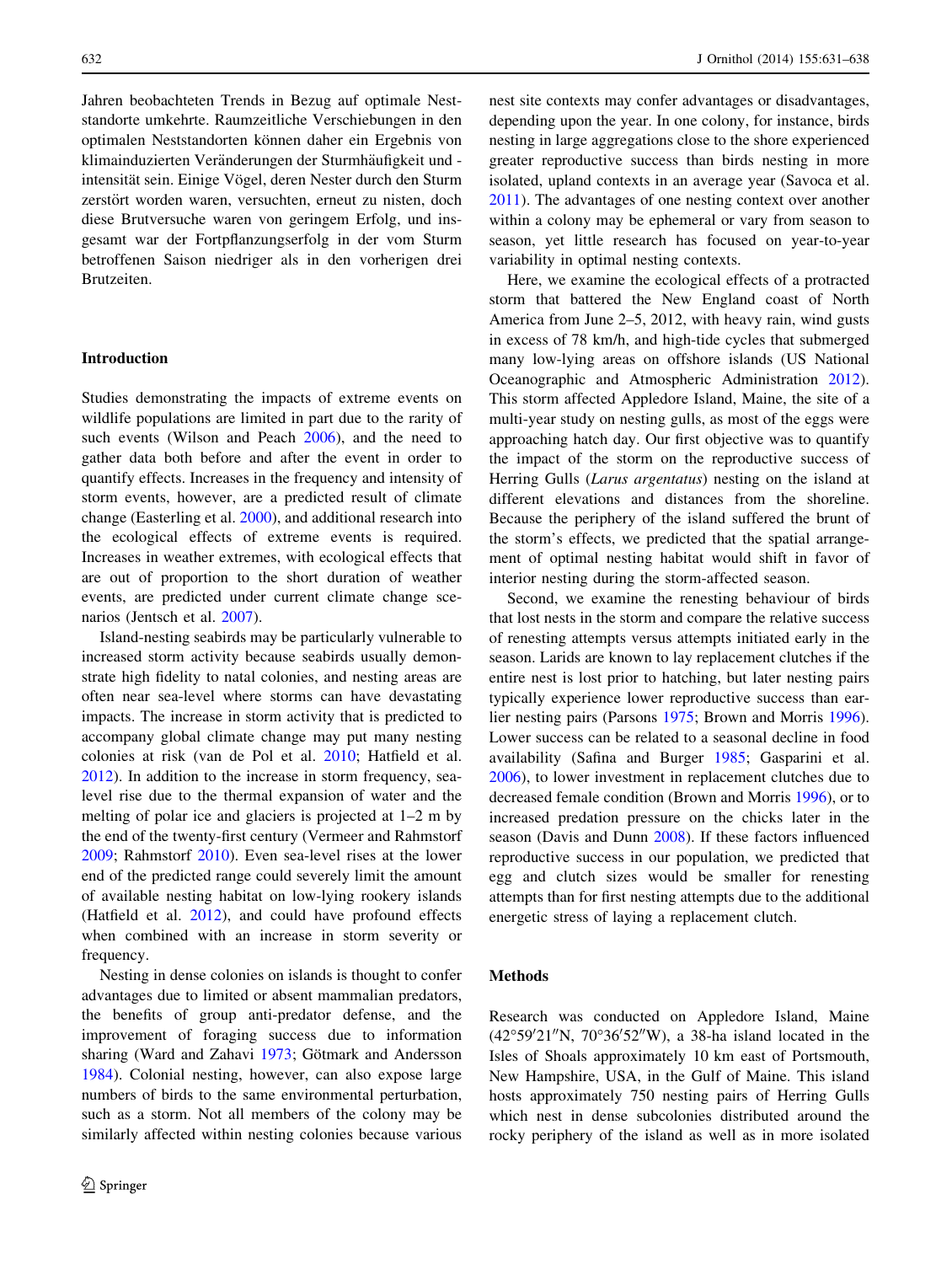Jahren beobachteten Trends in Bezug auf optimale Neststandorte umkehrte. Raumzeitliche Verschiebungen in den optimalen Neststandorten können daher ein Ergebnis von klimainduzierten Veränderungen der Sturmhäufigkeit und intensität sein. Einige Vögel, deren Nester durch den Sturm zerstört worden waren, versuchten, erneut zu nisten, doch diese Brutversuche waren von geringem Erfolg, und insgesamt war der Fortpflanzungserfolg in der vom Sturm betroffenen Saison niedriger als in den vorherigen drei Brutzeiten.

## Introduction

Studies demonstrating the impacts of extreme events on wildlife populations are limited in part due to the rarity of such events (Wilson and Peach [2006](#page-7-0)), and the need to gather data both before and after the event in order to quantify effects. Increases in the frequency and intensity of storm events, however, are a predicted result of climate change (Easterling et al. [2000](#page-6-0)), and additional research into the ecological effects of extreme events is required. Increases in weather extremes, with ecological effects that are out of proportion to the short duration of weather events, are predicted under current climate change scenarios (Jentsch et al. [2007\)](#page-6-0).

Island-nesting seabirds may be particularly vulnerable to increased storm activity because seabirds usually demonstrate high fidelity to natal colonies, and nesting areas are often near sea-level where storms can have devastating impacts. The increase in storm activity that is predicted to accompany global climate change may put many nesting colonies at risk (van de Pol et al. [2010;](#page-7-0) Hatfield et al. [2012\)](#page-6-0). In addition to the increase in storm frequency, sealevel rise due to the thermal expansion of water and the melting of polar ice and glaciers is projected at 1–2 m by the end of the twenty-first century (Vermeer and Rahmstorf [2009;](#page-7-0) Rahmstorf [2010\)](#page-6-0). Even sea-level rises at the lower end of the predicted range could severely limit the amount of available nesting habitat on low-lying rookery islands (Hatfield et al. [2012\)](#page-6-0), and could have profound effects when combined with an increase in storm severity or frequency.

Nesting in dense colonies on islands is thought to confer advantages due to limited or absent mammalian predators, the benefits of group anti-predator defense, and the improvement of foraging success due to information sharing (Ward and Zahavi [1973;](#page-7-0) Götmark and Andersson [1984\)](#page-6-0). Colonial nesting, however, can also expose large numbers of birds to the same environmental perturbation, such as a storm. Not all members of the colony may be similarly affected within nesting colonies because various nest site contexts may confer advantages or disadvantages, depending upon the year. In one colony, for instance, birds nesting in large aggregations close to the shore experienced greater reproductive success than birds nesting in more isolated, upland contexts in an average year (Savoca et al. [2011](#page-6-0)). The advantages of one nesting context over another within a colony may be ephemeral or vary from season to season, yet little research has focused on year-to-year variability in optimal nesting contexts.

Here, we examine the ecological effects of a protracted storm that battered the New England coast of North America from June 2–5, 2012, with heavy rain, wind gusts in excess of 78 km/h, and high-tide cycles that submerged many low-lying areas on offshore islands (US National Oceanographic and Atmospheric Administration [2012](#page-6-0)). This storm affected Appledore Island, Maine, the site of a multi-year study on nesting gulls, as most of the eggs were approaching hatch day. Our first objective was to quantify the impact of the storm on the reproductive success of Herring Gulls (Larus argentatus) nesting on the island at different elevations and distances from the shoreline. Because the periphery of the island suffered the brunt of the storm's effects, we predicted that the spatial arrangement of optimal nesting habitat would shift in favor of interior nesting during the storm-affected season.

Second, we examine the renesting behaviour of birds that lost nests in the storm and compare the relative success of renesting attempts versus attempts initiated early in the season. Larids are known to lay replacement clutches if the entire nest is lost prior to hatching, but later nesting pairs typically experience lower reproductive success than earlier nesting pairs (Parsons [1975;](#page-6-0) Brown and Morris [1996](#page-6-0)). Lower success can be related to a seasonal decline in food availability (Safina and Burger [1985;](#page-6-0) Gasparini et al. [2006](#page-6-0)), to lower investment in replacement clutches due to decreased female condition (Brown and Morris [1996](#page-6-0)), or to increased predation pressure on the chicks later in the season (Davis and Dunn [2008](#page-6-0)). If these factors influenced reproductive success in our population, we predicted that egg and clutch sizes would be smaller for renesting attempts than for first nesting attempts due to the additional energetic stress of laying a replacement clutch.

## Methods

Research was conducted on Appledore Island, Maine (42°59'21"N, 70°36'52"W), a 38-ha island located in the Isles of Shoals approximately 10 km east of Portsmouth, New Hampshire, USA, in the Gulf of Maine. This island hosts approximately 750 nesting pairs of Herring Gulls which nest in dense subcolonies distributed around the rocky periphery of the island as well as in more isolated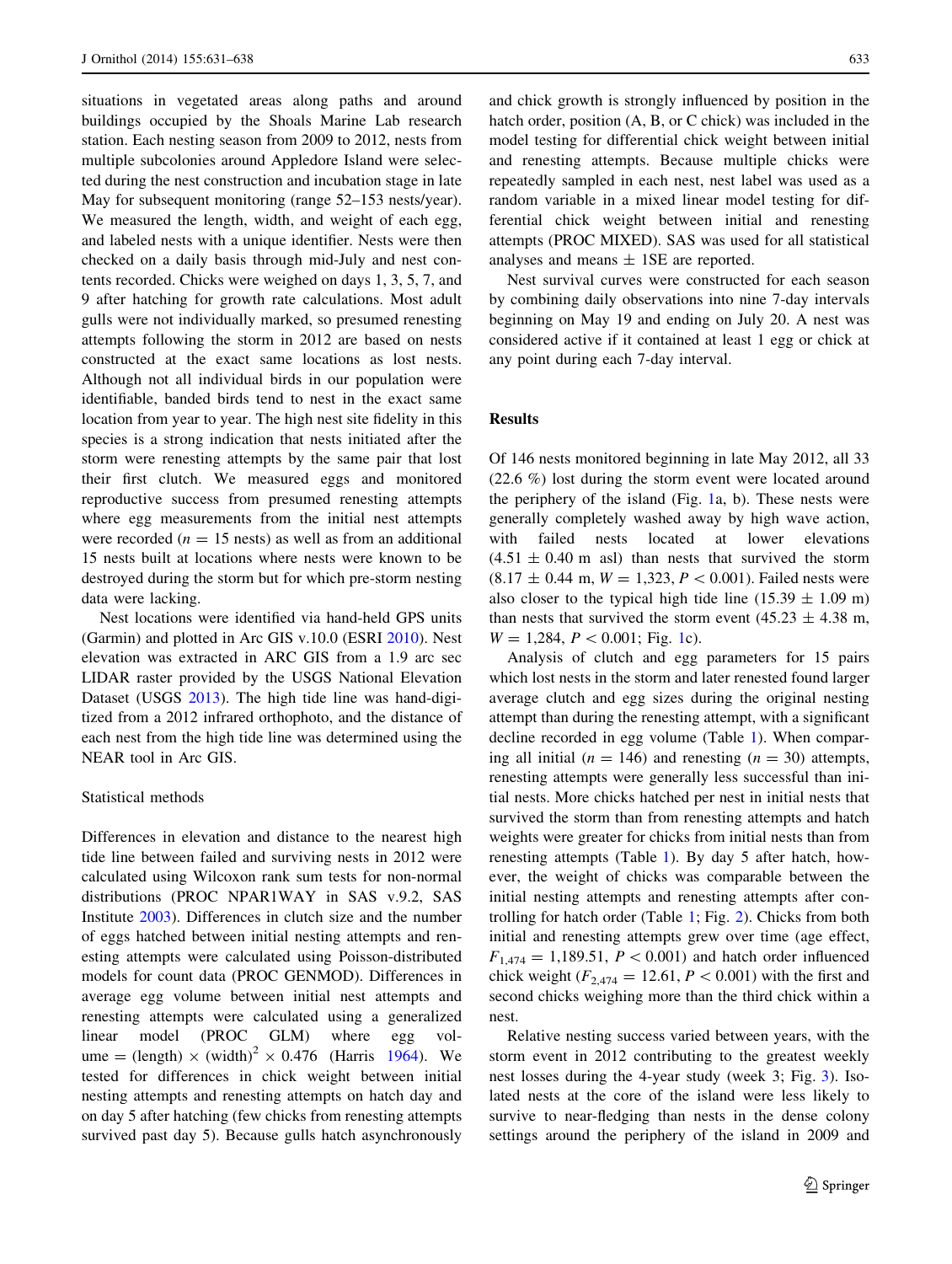situations in vegetated areas along paths and around buildings occupied by the Shoals Marine Lab research station. Each nesting season from 2009 to 2012, nests from multiple subcolonies around Appledore Island were selected during the nest construction and incubation stage in late May for subsequent monitoring (range 52–153 nests/year). We measured the length, width, and weight of each egg, and labeled nests with a unique identifier. Nests were then checked on a daily basis through mid-July and nest contents recorded. Chicks were weighed on days 1, 3, 5, 7, and 9 after hatching for growth rate calculations. Most adult gulls were not individually marked, so presumed renesting attempts following the storm in 2012 are based on nests constructed at the exact same locations as lost nests. Although not all individual birds in our population were identifiable, banded birds tend to nest in the exact same location from year to year. The high nest site fidelity in this species is a strong indication that nests initiated after the storm were renesting attempts by the same pair that lost their first clutch. We measured eggs and monitored reproductive success from presumed renesting attempts where egg measurements from the initial nest attempts were recorded ( $n = 15$  nests) as well as from an additional 15 nests built at locations where nests were known to be destroyed during the storm but for which pre-storm nesting data were lacking.

Nest locations were identified via hand-held GPS units (Garmin) and plotted in Arc GIS v.10.0 (ESRI [2010](#page-6-0)). Nest elevation was extracted in ARC GIS from a 1.9 arc sec LIDAR raster provided by the USGS National Elevation Dataset (USGS [2013\)](#page-7-0). The high tide line was hand-digitized from a 2012 infrared orthophoto, and the distance of each nest from the high tide line was determined using the NEAR tool in Arc GIS.

## Statistical methods

Differences in elevation and distance to the nearest high tide line between failed and surviving nests in 2012 were calculated using Wilcoxon rank sum tests for non-normal distributions (PROC NPAR1WAY in SAS v.9.2, SAS Institute [2003](#page-6-0)). Differences in clutch size and the number of eggs hatched between initial nesting attempts and renesting attempts were calculated using Poisson-distributed models for count data (PROC GENMOD). Differences in average egg volume between initial nest attempts and renesting attempts were calculated using a generalized linear model (PROC GLM) where egg volume = (length)  $\times$  (width)<sup>2</sup>  $\times$  0.476 (Harris [1964\)](#page-6-0). We tested for differences in chick weight between initial nesting attempts and renesting attempts on hatch day and on day 5 after hatching (few chicks from renesting attempts survived past day 5). Because gulls hatch asynchronously

and chick growth is strongly influenced by position in the hatch order, position (A, B, or C chick) was included in the model testing for differential chick weight between initial and renesting attempts. Because multiple chicks were repeatedly sampled in each nest, nest label was used as a random variable in a mixed linear model testing for differential chick weight between initial and renesting attempts (PROC MIXED). SAS was used for all statistical analyses and means  $\pm$  1SE are reported.

Nest survival curves were constructed for each season by combining daily observations into nine 7-day intervals beginning on May 19 and ending on July 20. A nest was considered active if it contained at least 1 egg or chick at any point during each 7-day interval.

# Results

Of 146 nests monitored beginning in late May 2012, all 33 (22.6 %) lost during the storm event were located around the periphery of the island (Fig. [1a](#page-3-0), b). These nests were generally completely washed away by high wave action, with failed nests located at lower elevations  $(4.51 \pm 0.40 \text{ m}$  asl) than nests that survived the storm  $(8.17 \pm 0.44 \text{ m}, W = 1,323, P < 0.001)$ . Failed nests were also closer to the typical high tide line (15.39  $\pm$  1.09 m) than nests that survived the storm event  $(45.23 \pm 4.38 \text{ m})$ ,  $W = 1,284, P < 0.001$  $W = 1,284, P < 0.001$  $W = 1,284, P < 0.001$ ; Fig. 1c).

Analysis of clutch and egg parameters for 15 pairs which lost nests in the storm and later renested found larger average clutch and egg sizes during the original nesting attempt than during the renesting attempt, with a significant decline recorded in egg volume (Table [1](#page-3-0)). When comparing all initial ( $n = 146$ ) and renesting ( $n = 30$ ) attempts, renesting attempts were generally less successful than initial nests. More chicks hatched per nest in initial nests that survived the storm than from renesting attempts and hatch weights were greater for chicks from initial nests than from renesting attempts (Table [1\)](#page-3-0). By day 5 after hatch, however, the weight of chicks was comparable between the initial nesting attempts and renesting attempts after controlling for hatch order (Table [1;](#page-3-0) Fig. [2](#page-4-0)). Chicks from both initial and renesting attempts grew over time (age effect,  $F_{1,474} = 1,189.51, P < 0.001$  and hatch order influenced chick weight ( $F_{2,474} = 12.61, P < 0.001$ ) with the first and second chicks weighing more than the third chick within a nest.

Relative nesting success varied between years, with the storm event in 2012 contributing to the greatest weekly nest losses during the 4-year study (week 3; Fig. [3](#page-4-0)). Isolated nests at the core of the island were less likely to survive to near-fledging than nests in the dense colony settings around the periphery of the island in 2009 and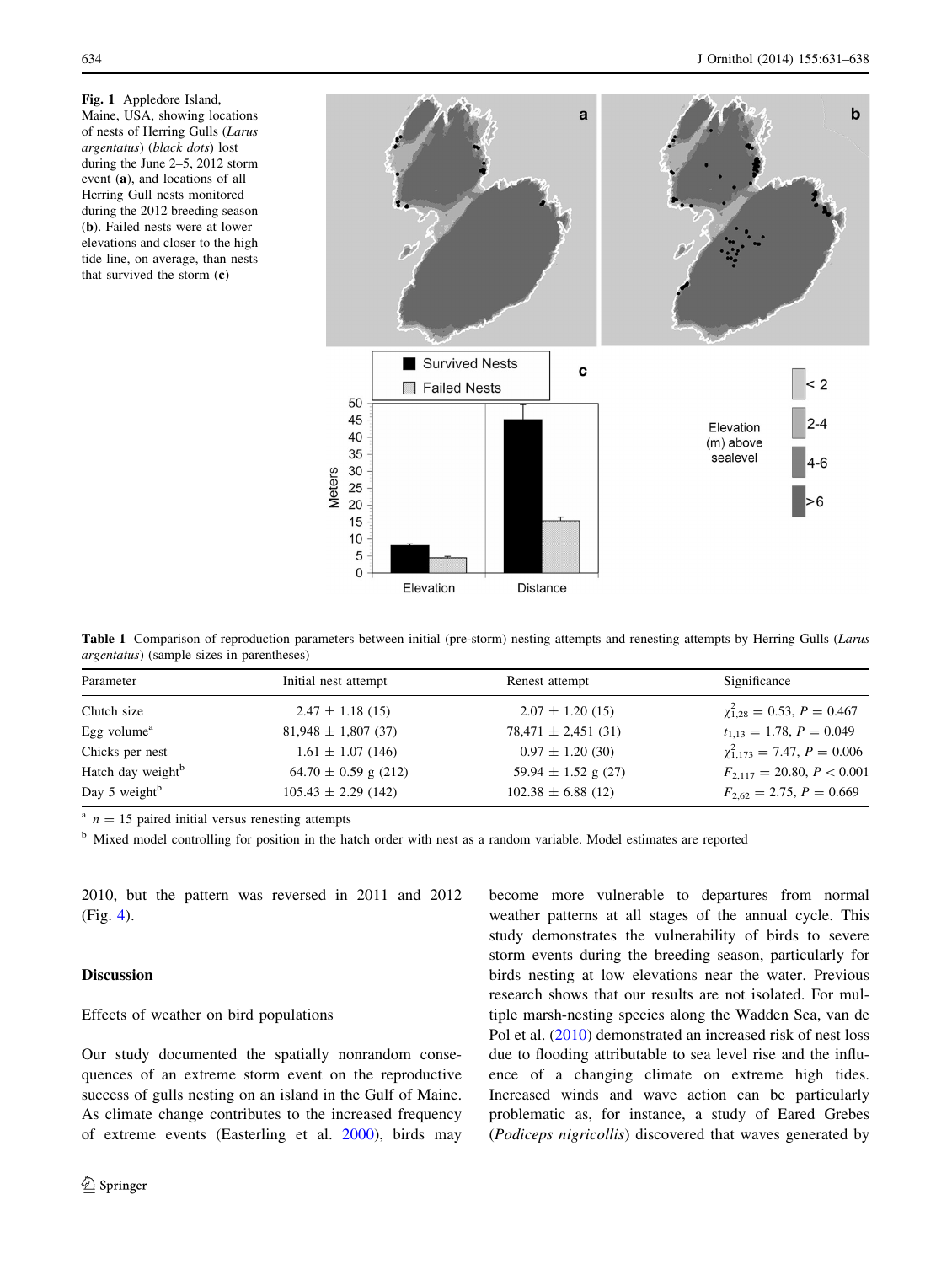<span id="page-3-0"></span>Fig. 1 Appledore Island, Maine, USA, showing locations of nests of Herring Gulls (Larus argentatus) (black dots) lost during the June 2–5, 2012 storm event (a), and locations of all Herring Gull nests monitored during the 2012 breeding season (b). Failed nests were at lower elevations and closer to the high tide line, on average, than nests that survived the storm (c)



Table 1 Comparison of reproduction parameters between initial (pre-storm) nesting attempts and renesting attempts by Herring Gulls (Larus argentatus) (sample sizes in parentheses)

| Parameter                            | Initial nest attempt     | Renest attempt          | Significance                       |
|--------------------------------------|--------------------------|-------------------------|------------------------------------|
| Clutch size                          | $2.47 \pm 1.18$ (15)     | $2.07 \pm 1.20$ (15)    | $\chi^2_{1,28} = 0.53, P = 0.467$  |
| Egg volume <sup><math>a</math></sup> | $81,948 \pm 1,807(37)$   | $78,471 \pm 2,451$ (31) | $t_{1,13} = 1.78, P = 0.049$       |
| Chicks per nest                      | $1.61 \pm 1.07$ (146)    | $0.97 \pm 1.20$ (30)    | $\chi^2_{1,173} = 7.47, P = 0.006$ |
| Hatch day weight <sup>b</sup>        | $64.70 \pm 0.59$ g (212) | 59.94 $\pm$ 1.52 g (27) | $F_{2,117} = 20.80, P < 0.001$     |
| Day 5 weight <sup>b</sup>            | $105.43 \pm 2.29$ (142)  | $102.38 \pm 6.88$ (12)  | $F_{2,62} = 2.75, P = 0.669$       |

 $n = 15$  paired initial versus renesting attempts

<sup>b</sup> Mixed model controlling for position in the hatch order with nest as a random variable. Model estimates are reported

2010, but the pattern was reversed in 2011 and 2012 (Fig. [4](#page-4-0)).

# Discussion

Effects of weather on bird populations

Our study documented the spatially nonrandom consequences of an extreme storm event on the reproductive success of gulls nesting on an island in the Gulf of Maine. As climate change contributes to the increased frequency of extreme events (Easterling et al. [2000](#page-6-0)), birds may become more vulnerable to departures from normal weather patterns at all stages of the annual cycle. This study demonstrates the vulnerability of birds to severe storm events during the breeding season, particularly for birds nesting at low elevations near the water. Previous research shows that our results are not isolated. For multiple marsh-nesting species along the Wadden Sea, van de Pol et al. [\(2010](#page-7-0)) demonstrated an increased risk of nest loss due to flooding attributable to sea level rise and the influence of a changing climate on extreme high tides. Increased winds and wave action can be particularly problematic as, for instance, a study of Eared Grebes (Podiceps nigricollis) discovered that waves generated by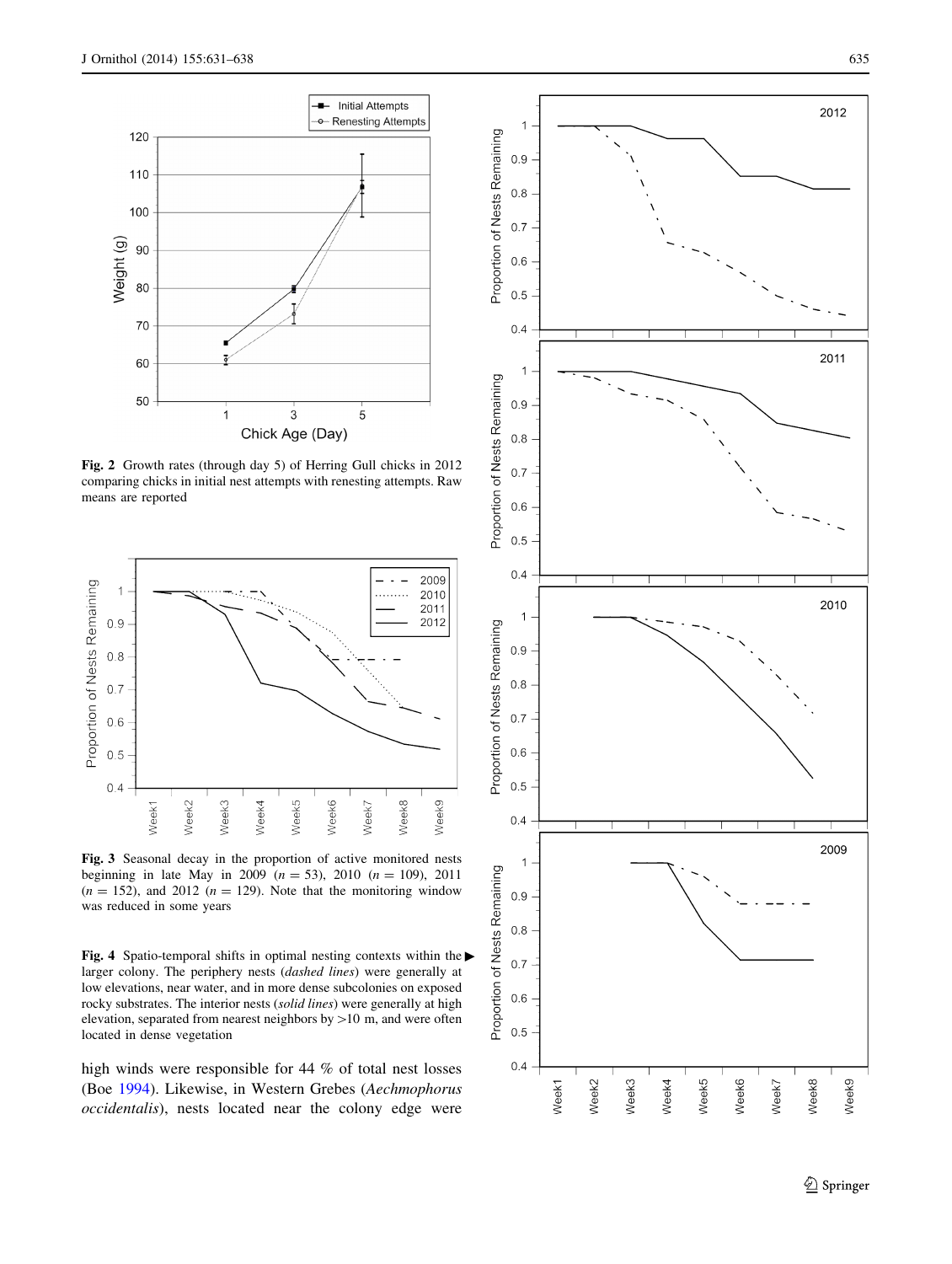<span id="page-4-0"></span>

Fig. 2 Growth rates (through day 5) of Herring Gull chicks in 2012 comparing chicks in initial nest attempts with renesting attempts. Raw means are reported



Fig. 3 Seasonal decay in the proportion of active monitored nests beginning in late May in 2009 ( $n = 53$ ), 2010 ( $n = 109$ ), 2011  $(n = 152)$ , and 2012  $(n = 129)$ . Note that the monitoring window was reduced in some years

Fig. 4 Spatio-temporal shifts in optimal nesting contexts within the larger colony. The periphery nests (dashed lines) were generally at low elevations, near water, and in more dense subcolonies on exposed rocky substrates. The interior nests (solid lines) were generally at high elevation, separated from nearest neighbors by  $>10$  m, and were often located in dense vegetation

high winds were responsible for 44 % of total nest losses (Boe [1994\)](#page-6-0). Likewise, in Western Grebes (Aechmophorus occidentalis), nests located near the colony edge were

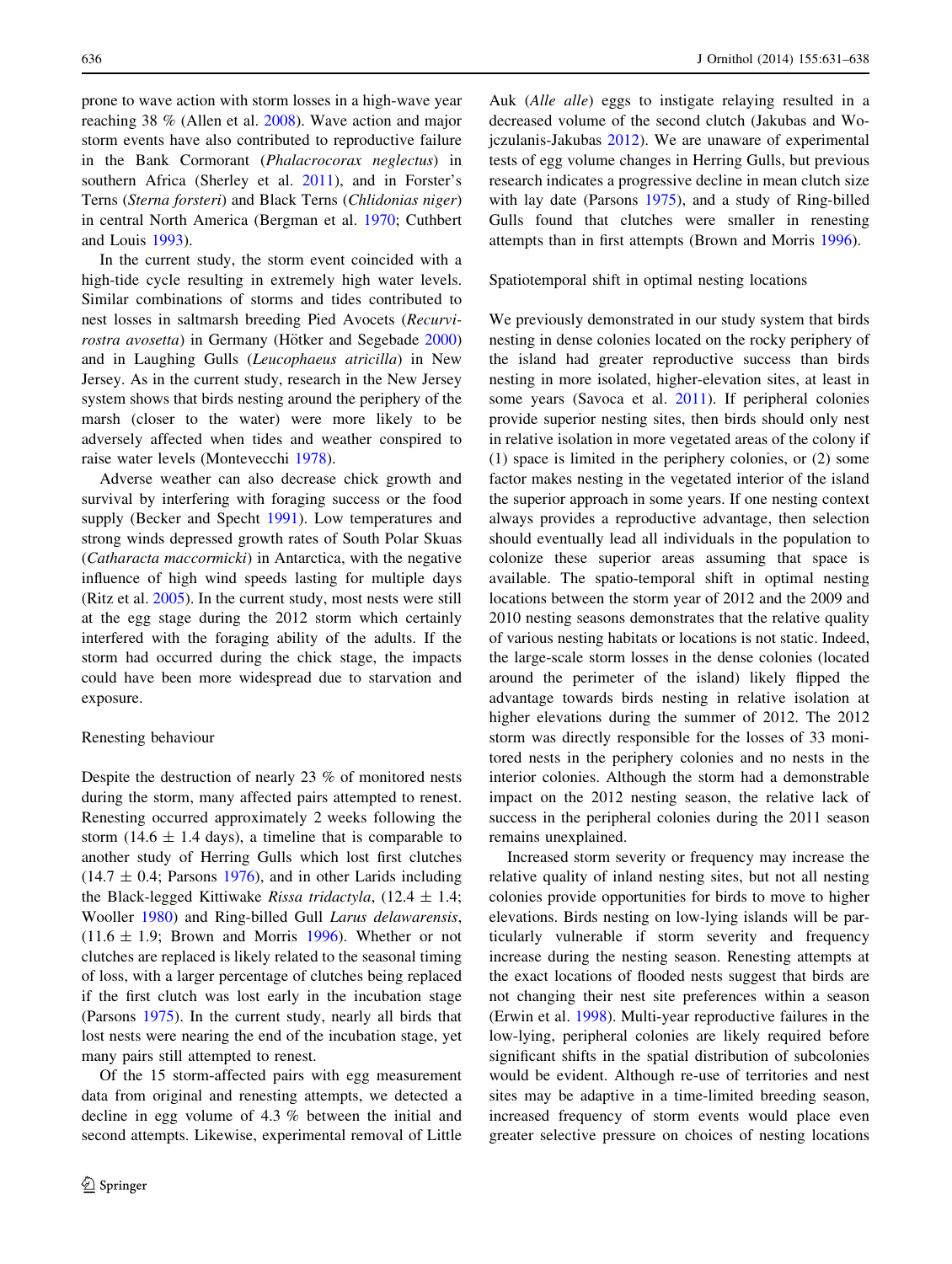prone to wave action with storm losses in a high-wave year reaching 38 % (Allen et al. [2008](#page-6-0)). Wave action and major storm events have also contributed to reproductive failure in the Bank Cormorant (Phalacrocorax neglectus) in southern Africa (Sherley et al. [2011](#page-6-0)), and in Forster's Terns (Sterna forsteri) and Black Terns (Chlidonias niger) in central North America (Bergman et al. [1970;](#page-6-0) Cuthbert and Louis [1993\)](#page-6-0).

In the current study, the storm event coincided with a high-tide cycle resulting in extremely high water levels. Similar combinations of storms and tides contributed to nest losses in saltmarsh breeding Pied Avocets (Recurvi-rostra avosetta) in Germany (Hötker and Segebade [2000\)](#page-6-0) and in Laughing Gulls (Leucophaeus atricilla) in New Jersey. As in the current study, research in the New Jersey system shows that birds nesting around the periphery of the marsh (closer to the water) were more likely to be adversely affected when tides and weather conspired to raise water levels (Montevecchi [1978](#page-6-0)).

Adverse weather can also decrease chick growth and survival by interfering with foraging success or the food supply (Becker and Specht [1991\)](#page-6-0). Low temperatures and strong winds depressed growth rates of South Polar Skuas (Catharacta maccormicki) in Antarctica, with the negative influence of high wind speeds lasting for multiple days (Ritz et al. [2005\)](#page-6-0). In the current study, most nests were still at the egg stage during the 2012 storm which certainly interfered with the foraging ability of the adults. If the storm had occurred during the chick stage, the impacts could have been more widespread due to starvation and exposure.

#### Renesting behaviour

Despite the destruction of nearly 23 % of monitored nests during the storm, many affected pairs attempted to renest. Renesting occurred approximately 2 weeks following the storm (14.6  $\pm$  1.4 days), a timeline that is comparable to another study of Herring Gulls which lost first clutches  $(14.7 \pm 0.4;$  Parsons [1976](#page-6-0)), and in other Larids including the Black-legged Kittiwake Rissa tridactyla,  $(12.4 \pm 1.4)$ ; Wooller [1980](#page-7-0)) and Ring-billed Gull Larus delawarensis,  $(11.6 \pm 1.9)$ ; Brown and Morris [1996\)](#page-6-0). Whether or not clutches are replaced is likely related to the seasonal timing of loss, with a larger percentage of clutches being replaced if the first clutch was lost early in the incubation stage (Parsons [1975](#page-6-0)). In the current study, nearly all birds that lost nests were nearing the end of the incubation stage, yet many pairs still attempted to renest.

Of the 15 storm-affected pairs with egg measurement data from original and renesting attempts, we detected a decline in egg volume of 4.3 % between the initial and second attempts. Likewise, experimental removal of Little Auk (Alle alle) eggs to instigate relaying resulted in a decreased volume of the second clutch (Jakubas and Wojczulanis-Jakubas [2012](#page-6-0)). We are unaware of experimental tests of egg volume changes in Herring Gulls, but previous research indicates a progressive decline in mean clutch size with lay date (Parsons [1975](#page-6-0)), and a study of Ring-billed Gulls found that clutches were smaller in renesting attempts than in first attempts (Brown and Morris [1996](#page-6-0)).

Spatiotemporal shift in optimal nesting locations

We previously demonstrated in our study system that birds nesting in dense colonies located on the rocky periphery of the island had greater reproductive success than birds nesting in more isolated, higher-elevation sites, at least in some years (Savoca et al. [2011\)](#page-6-0). If peripheral colonies provide superior nesting sites, then birds should only nest in relative isolation in more vegetated areas of the colony if (1) space is limited in the periphery colonies, or (2) some factor makes nesting in the vegetated interior of the island the superior approach in some years. If one nesting context always provides a reproductive advantage, then selection should eventually lead all individuals in the population to colonize these superior areas assuming that space is available. The spatio-temporal shift in optimal nesting locations between the storm year of 2012 and the 2009 and 2010 nesting seasons demonstrates that the relative quality of various nesting habitats or locations is not static. Indeed, the large-scale storm losses in the dense colonies (located around the perimeter of the island) likely flipped the advantage towards birds nesting in relative isolation at higher elevations during the summer of 2012. The 2012 storm was directly responsible for the losses of 33 monitored nests in the periphery colonies and no nests in the interior colonies. Although the storm had a demonstrable impact on the 2012 nesting season, the relative lack of success in the peripheral colonies during the 2011 season remains unexplained.

Increased storm severity or frequency may increase the relative quality of inland nesting sites, but not all nesting colonies provide opportunities for birds to move to higher elevations. Birds nesting on low-lying islands will be particularly vulnerable if storm severity and frequency increase during the nesting season. Renesting attempts at the exact locations of flooded nests suggest that birds are not changing their nest site preferences within a season (Erwin et al. [1998\)](#page-6-0). Multi-year reproductive failures in the low-lying, peripheral colonies are likely required before significant shifts in the spatial distribution of subcolonies would be evident. Although re-use of territories and nest sites may be adaptive in a time-limited breeding season, increased frequency of storm events would place even greater selective pressure on choices of nesting locations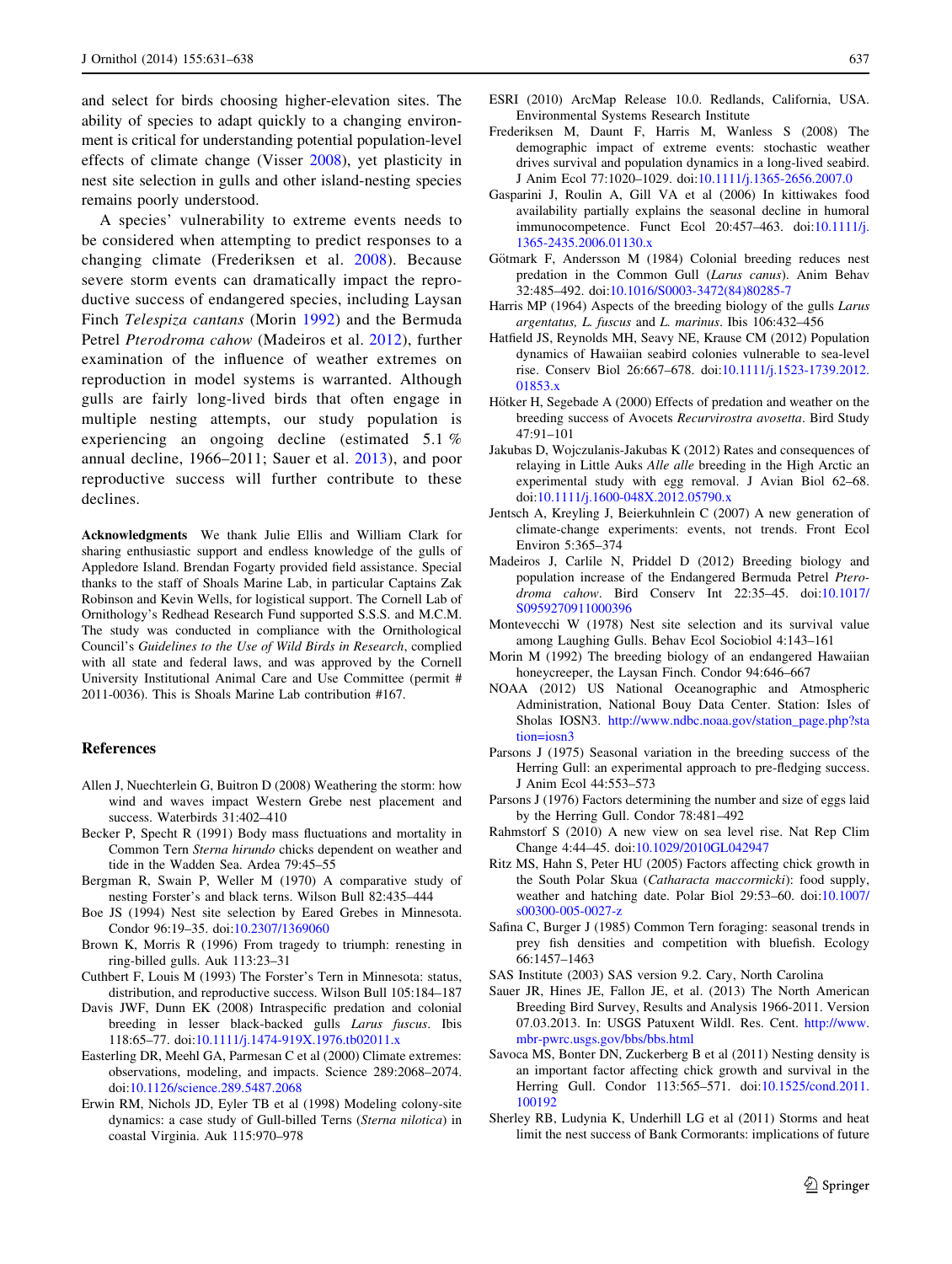<span id="page-6-0"></span>and select for birds choosing higher-elevation sites. The ability of species to adapt quickly to a changing environment is critical for understanding potential population-level effects of climate change (Visser [2008\)](#page-7-0), yet plasticity in nest site selection in gulls and other island-nesting species remains poorly understood.

A species' vulnerability to extreme events needs to be considered when attempting to predict responses to a changing climate (Frederiksen et al. 2008). Because severe storm events can dramatically impact the reproductive success of endangered species, including Laysan Finch Telespiza cantans (Morin 1992) and the Bermuda Petrel Pterodroma cahow (Madeiros et al. 2012), further examination of the influence of weather extremes on reproduction in model systems is warranted. Although gulls are fairly long-lived birds that often engage in multiple nesting attempts, our study population is experiencing an ongoing decline (estimated 5.1 % annual decline, 1966–2011; Sauer et al. 2013), and poor reproductive success will further contribute to these declines.

Acknowledgments We thank Julie Ellis and William Clark for sharing enthusiastic support and endless knowledge of the gulls of Appledore Island. Brendan Fogarty provided field assistance. Special thanks to the staff of Shoals Marine Lab, in particular Captains Zak Robinson and Kevin Wells, for logistical support. The Cornell Lab of Ornithology's Redhead Research Fund supported S.S.S. and M.C.M. The study was conducted in compliance with the Ornithological Council's Guidelines to the Use of Wild Birds in Research, complied with all state and federal laws, and was approved by the Cornell University Institutional Animal Care and Use Committee (permit # 2011-0036). This is Shoals Marine Lab contribution #167.

#### References

- Allen J, Nuechterlein G, Buitron D (2008) Weathering the storm: how wind and waves impact Western Grebe nest placement and success. Waterbirds 31:402–410
- Becker P, Specht R (1991) Body mass fluctuations and mortality in Common Tern Sterna hirundo chicks dependent on weather and tide in the Wadden Sea. Ardea 79:45–55
- Bergman R, Swain P, Weller M (1970) A comparative study of nesting Forster's and black terns. Wilson Bull 82:435–444
- Boe JS (1994) Nest site selection by Eared Grebes in Minnesota. Condor 96:19–35. doi[:10.2307/1369060](http://dx.doi.org/10.2307/1369060)
- Brown K, Morris R (1996) From tragedy to triumph: renesting in ring-billed gulls. Auk 113:23–31
- Cuthbert F, Louis M (1993) The Forster's Tern in Minnesota: status, distribution, and reproductive success. Wilson Bull 105:184–187
- Davis JWF, Dunn EK (2008) Intraspecific predation and colonial breeding in lesser black-backed gulls Larus fuscus. Ibis 118:65–77. doi[:10.1111/j.1474-919X.1976.tb02011.x](http://dx.doi.org/10.1111/j.1474-919X.1976.tb02011.x)
- Easterling DR, Meehl GA, Parmesan C et al (2000) Climate extremes: observations, modeling, and impacts. Science 289:2068–2074. doi[:10.1126/science.289.5487.2068](http://dx.doi.org/10.1126/science.289.5487.2068)
- Erwin RM, Nichols JD, Eyler TB et al (1998) Modeling colony-site dynamics: a case study of Gull-billed Terns (Sterna nilotica) in coastal Virginia. Auk 115:970–978
- ESRI (2010) ArcMap Release 10.0. Redlands, California, USA. Environmental Systems Research Institute
- Frederiksen M, Daunt F, Harris M, Wanless S (2008) The demographic impact of extreme events: stochastic weather drives survival and population dynamics in a long-lived seabird. J Anim Ecol 77:1020–1029. doi:[10.1111/j.1365-2656.2007.0](http://dx.doi.org/10.1111/j.1365-2656.2007.0)
- Gasparini J, Roulin A, Gill VA et al (2006) In kittiwakes food availability partially explains the seasonal decline in humoral immunocompetence. Funct Ecol 20:457–463. doi:[10.1111/j.](http://dx.doi.org/10.1111/j.1365-2435.2006.01130.x) [1365-2435.2006.01130.x](http://dx.doi.org/10.1111/j.1365-2435.2006.01130.x)
- Götmark F, Andersson M (1984) Colonial breeding reduces nest predation in the Common Gull (Larus canus). Anim Behav 32:485–492. doi:[10.1016/S0003-3472\(84\)80285-7](http://dx.doi.org/10.1016/S0003-3472(84)80285-7)
- Harris MP (1964) Aspects of the breeding biology of the gulls Larus argentatus, L. fuscus and L. marinus. Ibis 106:432–456
- Hatfield JS, Reynolds MH, Seavy NE, Krause CM (2012) Population dynamics of Hawaiian seabird colonies vulnerable to sea-level rise. Conserv Biol 26:667–678. doi:[10.1111/j.1523-1739.2012.](http://dx.doi.org/10.1111/j.1523-1739.2012.01853.x) [01853.x](http://dx.doi.org/10.1111/j.1523-1739.2012.01853.x)
- Hötker H, Segebade A (2000) Effects of predation and weather on the breeding success of Avocets Recurvirostra avosetta. Bird Study 47:91–101
- Jakubas D, Wojczulanis-Jakubas K (2012) Rates and consequences of relaying in Little Auks Alle alle breeding in the High Arctic an experimental study with egg removal. J Avian Biol 62–68. doi[:10.1111/j.1600-048X.2012.05790.x](http://dx.doi.org/10.1111/j.1600-048X.2012.05790.x)
- Jentsch A, Kreyling J, Beierkuhnlein C (2007) A new generation of climate-change experiments: events, not trends. Front Ecol Environ 5:365–374
- Madeiros J, Carlile N, Priddel D (2012) Breeding biology and population increase of the Endangered Bermuda Petrel Pterodroma cahow. Bird Conserv Int 22:35–45. doi[:10.1017/](http://dx.doi.org/10.1017/S0959270911000396) [S0959270911000396](http://dx.doi.org/10.1017/S0959270911000396)
- Montevecchi W (1978) Nest site selection and its survival value among Laughing Gulls. Behav Ecol Sociobiol 4:143–161
- Morin M (1992) The breeding biology of an endangered Hawaiian honeycreeper, the Laysan Finch. Condor 94:646–667
- NOAA (2012) US National Oceanographic and Atmospheric Administration, National Bouy Data Center. Station: Isles of Sholas IOSN3. [http://www.ndbc.noaa.gov/station\\_page.php?sta](http://www.ndbc.noaa.gov/station_page.php?station=iosn3) [tion=iosn3](http://www.ndbc.noaa.gov/station_page.php?station=iosn3)
- Parsons J (1975) Seasonal variation in the breeding success of the Herring Gull: an experimental approach to pre-fledging success. J Anim Ecol 44:553–573
- Parsons J (1976) Factors determining the number and size of eggs laid by the Herring Gull. Condor 78:481–492
- Rahmstorf S (2010) A new view on sea level rise. Nat Rep Clim Change 4:44–45. doi:[10.1029/2010GL042947](http://dx.doi.org/10.1029/2010GL042947)
- Ritz MS, Hahn S, Peter HU (2005) Factors affecting chick growth in the South Polar Skua (Catharacta maccormicki): food supply, weather and hatching date. Polar Biol 29:53–60. doi[:10.1007/](http://dx.doi.org/10.1007/s00300-005-0027-z) [s00300-005-0027-z](http://dx.doi.org/10.1007/s00300-005-0027-z)
- Safina C, Burger J (1985) Common Tern foraging: seasonal trends in prey fish densities and competition with bluefish. Ecology 66:1457–1463
- SAS Institute (2003) SAS version 9.2. Cary, North Carolina
- Sauer JR, Hines JE, Fallon JE, et al. (2013) The North American Breeding Bird Survey, Results and Analysis 1966-2011. Version 07.03.2013. In: USGS Patuxent Wildl. Res. Cent. [http://www.](http://www.mbr-pwrc.usgs.gov/bbs/bbs.html) [mbr-pwrc.usgs.gov/bbs/bbs.html](http://www.mbr-pwrc.usgs.gov/bbs/bbs.html)
- Savoca MS, Bonter DN, Zuckerberg B et al (2011) Nesting density is an important factor affecting chick growth and survival in the Herring Gull. Condor 113:565–571. doi:[10.1525/cond.2011.](http://dx.doi.org/10.1525/cond.2011.100192) [100192](http://dx.doi.org/10.1525/cond.2011.100192)
- Sherley RB, Ludynia K, Underhill LG et al (2011) Storms and heat limit the nest success of Bank Cormorants: implications of future